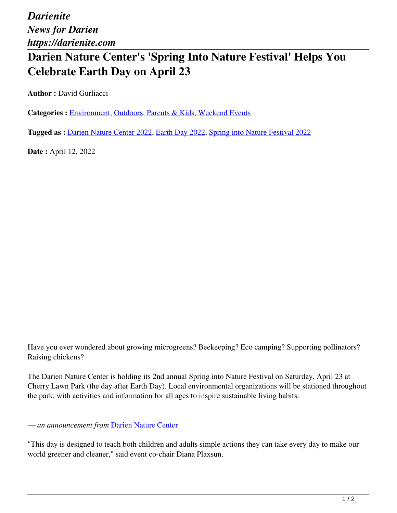*Darienite News for Darien https://darienite.com*

## **Darien Nature Center's 'Spring Into Nature Festival' Helps You Celebrate Earth Day on April 23**

**Author :** David Gurliacci

Categories : **Environment**, Outdoors, Parents & Kids, Weekend Events

**Tagged as :** Darien Nature Center 2022, Earth Day 2022, Spring into Nature Festival 2022

**Date :** April 12, 2022

Have you ever wondered about growing microgreens? Beekeeping? Eco camping? Supporting pollinators? Raising chickens?

The Darien Nature Center is holding its 2nd annual Spring into Nature Festival on Saturday, April 23 at Cherry Lawn Park (the day after Earth Day). Local environmental organizations will be stationed throughout the park, with activities and information for all ages to inspire sustainable living habits.

*— an announcement from* Darien Nature Center

"This day is designed to teach both children and adults simple actions they can take every day to make our world greener and cleaner," said event co-chair Diana Plaxsun.